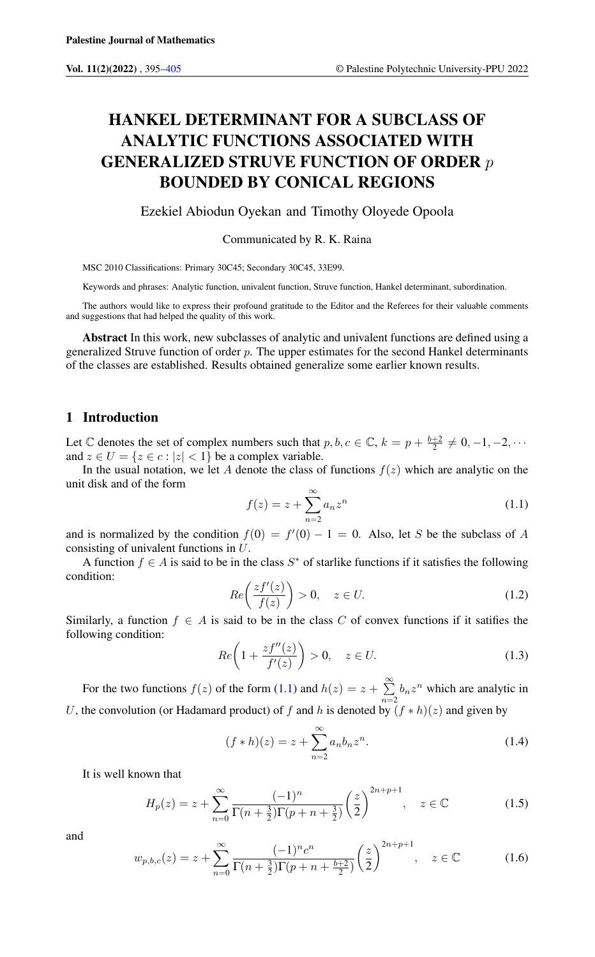# HANKEL DETERMINANT FOR A SUBCLASS OF ANALYTIC FUNCTIONS ASSOCIATED WITH GENERALIZED STRUVE FUNCTION OF ORDER p BOUNDED BY CONICAL REGIONS

Ezekiel Abiodun Oyekan and Timothy Oloyede Opoola

Communicated by R. K. Raina

MSC 2010 Classifications: Primary 30C45; Secondary 30C45, 33E99.

Keywords and phrases: Analytic function, univalent function, Struve function, Hankel determinant, subordination.

The authors would like to express their profound gratitude to the Editor and the Referees for their valuable comments and suggestions that had helped the quality of this work.

Abstract In this work, new subclasses of analytic and univalent functions are defined using a generalized Struve function of order  $p$ . The upper estimates for the second Hankel determinants of the classes are established. Results obtained generalize some earlier known results.

# 1 Introduction

Let  $\mathbb C$  denotes the set of complex numbers such that  $p, b, c \in \mathbb C, k = p + \frac{b+2}{2} \neq 0, -1, -2, \cdots$ and  $z \in U = \{z \in c : |z| < 1\}$  be a complex variable.

In the usual notation, we let A denote the class of functions  $f(z)$  which are analytic on the unit disk and of the form

<span id="page-0-0"></span>
$$
f(z) = z + \sum_{n=2}^{\infty} a_n z^n
$$
\n(1.1)

and is normalized by the condition  $f(0) = f'(0) - 1 = 0$ . Also, let S be the subclass of A consisting of univalent functions in U.

<span id="page-0-4"></span>A function  $f \in A$  is said to be in the class  $S^*$  of starlike functions if it satisfies the following condition:

$$
Re\left(\frac{zf'(z)}{f(z)}\right) > 0, \quad z \in U. \tag{1.2}
$$

Similarly, a function  $f \in A$  is said to be in the class C of convex functions if it satifies the following condition:

<span id="page-0-5"></span>
$$
Re\left(1 + \frac{zf''(z)}{f'(z)}\right) > 0, \quad z \in U. \tag{1.3}
$$

For the two functions  $f(z)$  of the form [\(1.1\)](#page-0-0) and  $h(z) = z + \sum_{n=1}^{\infty}$  $\sum_{n=2} b_n z^n$  which are analytic in U, the convolution (or Hadamard product) of f and h is denoted by  $(f * h)(z)$  and given by

<span id="page-0-3"></span>
$$
(f * h)(z) = z + \sum_{n=2}^{\infty} a_n b_n z^n.
$$
 (1.4)

It is well known that

<span id="page-0-1"></span>
$$
H_p(z) = z + \sum_{n=0}^{\infty} \frac{(-1)^n}{\Gamma(n + \frac{3}{2})\Gamma(p + n + \frac{3}{2})} \left(\frac{z}{2}\right)^{2n+p+1}, \quad z \in \mathbb{C}
$$
 (1.5)

<span id="page-0-2"></span>and

$$
w_{p,b,c}(z) = z + \sum_{n=0}^{\infty} \frac{(-1)^n c^n}{\Gamma(n + \frac{3}{2}) \Gamma(p + n + \frac{b+2}{2})} \left(\frac{z}{2}\right)^{2n+p+1}, \quad z \in \mathbb{C}
$$
 (1.6)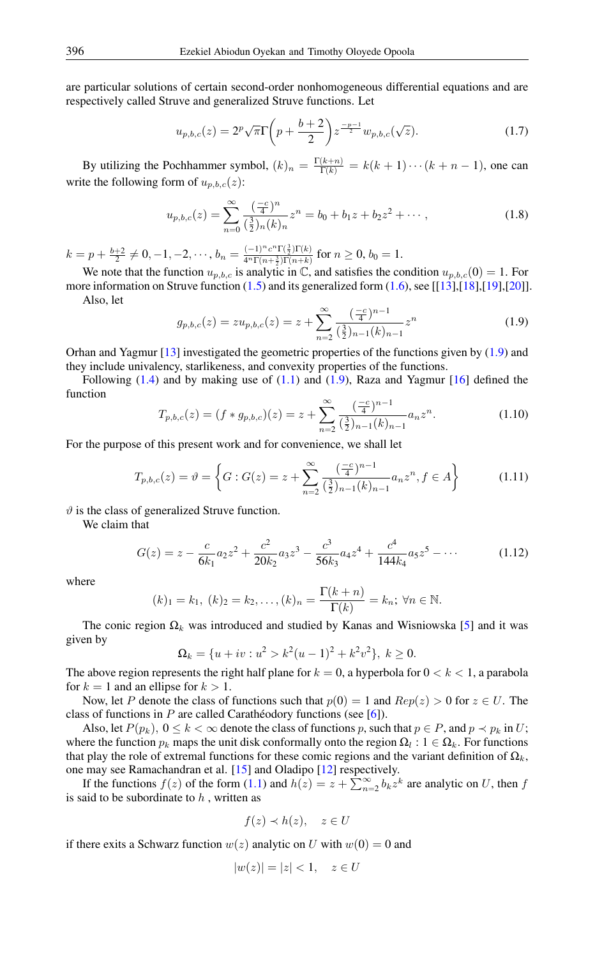are particular solutions of certain second-order nonhomogeneous differential equations and are respectively called Struve and generalized Struve functions. Let

$$
u_{p,b,c}(z) = 2^p \sqrt{\pi} \Gamma \left( p + \frac{b+2}{2} \right) z^{\frac{-p-1}{2}} w_{p,b,c}(\sqrt{z}). \tag{1.7}
$$

By utilizing the Pochhammer symbol,  $(k)_n = \frac{\Gamma(k+n)}{\Gamma(k)} = k(k+1)\cdots(k+n-1)$ , one can write the following form of  $u_{n,b,c}(z)$ :

$$
u_{p,b,c}(z) = \sum_{n=0}^{\infty} \frac{\left(\frac{-c}{4}\right)^n}{\left(\frac{3}{2}\right)_n (k)_n} z^n = b_0 + b_1 z + b_2 z^2 + \cdots,
$$
 (1.8)

 $k=p+\frac{b+2}{2}\neq 0,-1,-2,\cdots,b_n=\frac{(-1)^nc^n\Gamma(\frac{3}{2})\Gamma(k)}{4^n\Gamma(n+\frac{3}{2})\Gamma(n+k)}$  $\frac{(-1)^{-1}C^{-1}(\frac{1}{2})\Gamma(k)}{4^n\Gamma(n+\frac{3}{2})\Gamma(n+k)}$  for  $n\geq 0, b_0=1$ .

We note that the function  $u_{p,b,c}$  is analytic in  $\mathbb{C}$ , and satisfies the condition  $u_{p,b,c}(0) = 1$ . For more information on Struve function  $(1.5)$  and its generalized form  $(1.6)$ , see [[\[13\]](#page-10-0),[\[18\]](#page-10-1),[\[19\]](#page-10-2),[\[20\]](#page-10-3)].

<span id="page-1-0"></span>Also, let

$$
g_{p,b,c}(z) = zu_{p,b,c}(z) = z + \sum_{n=2}^{\infty} \frac{\left(\frac{-c}{4}\right)^{n-1}}{\left(\frac{3}{2}\right)_{n-1}(k)_{n-1}} z^n \tag{1.9}
$$

Orhan and Yagmur [\[13\]](#page-10-0) investigated the geometric properties of the functions given by [\(1.9\)](#page-1-0) and they include univalency, starlikeness, and convexity properties of the functions.

Following  $(1.4)$  and by making use of  $(1.1)$  and  $(1.9)$ , Raza and Yagmur  $[16]$  defined the function

$$
T_{p,b,c}(z) = (f * g_{p,b,c})(z) = z + \sum_{n=2}^{\infty} \frac{\left(\frac{-c}{4}\right)^{n-1}}{\left(\frac{3}{2}\right)_{n-1}(k)_{n-1}} a_n z^n.
$$
 (1.10)

For the purpose of this present work and for convenience, we shall let

$$
T_{p,b,c}(z) = \vartheta = \left\{ G : G(z) = z + \sum_{n=2}^{\infty} \frac{\left(\frac{-c}{4}\right)^{n-1}}{\left(\frac{3}{2}\right)_{n-1}(k)_{n-1}} a_n z^n, f \in A \right\}
$$
(1.11)

 $\vartheta$  is the class of generalized Struve function.

We claim that

$$
G(z) = z - \frac{c}{6k_1}a_2z^2 + \frac{c^2}{20k_2}a_3z^3 - \frac{c^3}{56k_3}a_4z^4 + \frac{c^4}{144k_4}a_5z^5 - \cdots
$$
 (1.12)

where

$$
(k)_1 = k_1, (k)_2 = k_2, ..., (k)_n = \frac{\Gamma(k+n)}{\Gamma(k)} = k_n; \forall n \in \mathbb{N}.
$$

The conic region  $\Omega_k$  was introduced and studied by Kanas and Wisniowska [\[5\]](#page-9-1) and it was given by

$$
\Omega_k = \{u + iv : u^2 > k^2(u - 1)^2 + k^2v^2\}, k \ge 0.
$$

The above region represents the right half plane for  $k = 0$ , a hyperbola for  $0 < k < 1$ , a parabola for  $k = 1$  and an ellipse for  $k > 1$ .

Now, let P denote the class of functions such that  $p(0) = 1$  and  $Rep(z) > 0$  for  $z \in U$ . The class of functions in P are called Carathéodory functions (see [\[6\]](#page-9-2)).

Also, let  $P(p_k)$ ,  $0 \le k < \infty$  denote the class of functions p, such that  $p \in P$ , and  $p \prec p_k$  in U; where the function  $p_k$  maps the unit disk conformally onto the region  $\Omega_l: 1 \in \Omega_k$ . For functions that play the role of extremal functions for these comic regions and the variant definition of  $\Omega_k$ , one may see Ramachandran et al. [\[15\]](#page-10-5) and Oladipo [\[12\]](#page-9-3) respectively.

If the functions  $f(z)$  of the form [\(1.1\)](#page-0-0) and  $h(z) = z + \sum_{n=2}^{\infty} b_k z^k$  are analytic on U, then f is said to be subordinate to  $h$ , written as

$$
f(z) \prec h(z), \quad z \in U
$$

if there exits a Schwarz function  $w(z)$  analytic on U with  $w(0) = 0$  and

$$
|w(z)| = |z| < 1, \quad z \in U
$$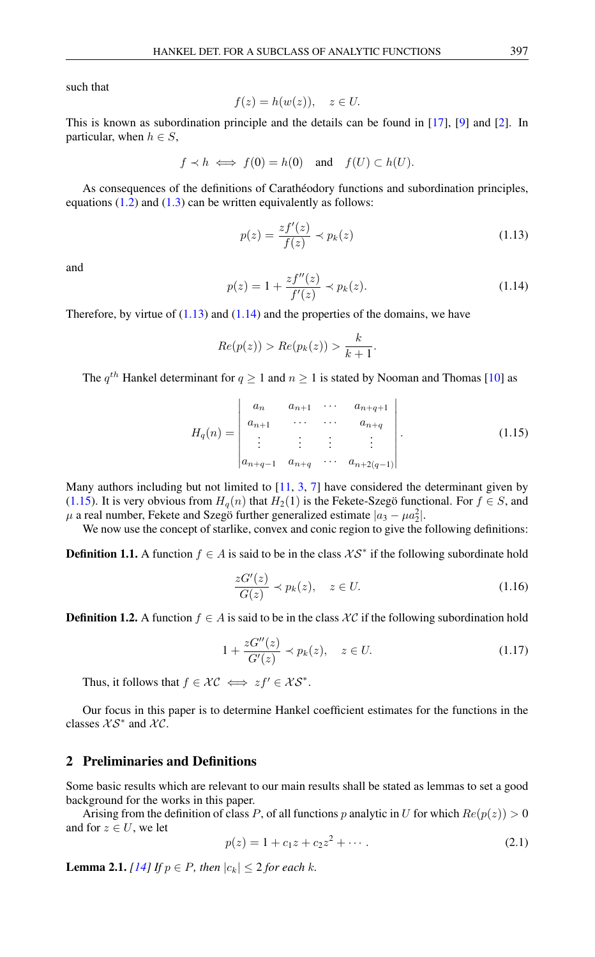such that

$$
f(z) = h(w(z)), \quad z \in U.
$$

This is known as subordination principle and the details can be found in [\[17\]](#page-10-6), [\[9\]](#page-9-4) and [\[2\]](#page-9-5). In particular, when  $h \in S$ ,

$$
f \prec h \iff f(0) = h(0)
$$
 and  $f(U) \subset h(U)$ .

As consequences of the definitions of Carathéodory functions and subordination principles, equations  $(1.2)$  and  $(1.3)$  can be written equivalently as follows:

<span id="page-2-0"></span>
$$
p(z) = \frac{zf'(z)}{f(z)} \prec p_k(z)
$$
\n(1.13)

<span id="page-2-1"></span>and

$$
p(z) = 1 + \frac{zf''(z)}{f'(z)} \prec p_k(z).
$$
 (1.14)

Therefore, by virtue of  $(1.13)$  and  $(1.14)$  and the properties of the domains, we have

<span id="page-2-2"></span>
$$
Re(p(z)) > Re(p_k(z)) > \frac{k}{k+1}.
$$

The  $q^{th}$  Hankel determinant for  $q \ge 1$  and  $n \ge 1$  is stated by Nooman and Thomas [\[10\]](#page-9-6) as

$$
H_q(n) = \begin{vmatrix} a_n & a_{n+1} & \cdots & a_{n+q+1} \\ a_{n+1} & \cdots & \cdots & a_{n+q} \\ \vdots & \vdots & \vdots & \vdots \\ a_{n+q-1} & a_{n+q} & \cdots & a_{n+2(q-1)} \end{vmatrix}.
$$
 (1.15)

Many authors including but not limited to  $[11, 3, 7]$  $[11, 3, 7]$  $[11, 3, 7]$  $[11, 3, 7]$  $[11, 3, 7]$  have considered the determinant given by [\(1.15\)](#page-2-2). It is very obvious from  $H_q(n)$  that  $H_2(1)$  is the Fekete-Szegö functional. For  $f \in S$ , and  $\mu$  a real number, Fekete and Szegö further generalized estimate  $|a_3 - \mu a_2^2|$ .

We now use the concept of starlike, convex and conic region to give the following definitions:

**Definition 1.1.** A function  $f \in A$  is said to be in the class  $\mathcal{KS}^*$  if the following subordinate hold

$$
\frac{zG'(z)}{G(z)} \prec p_k(z), \quad z \in U. \tag{1.16}
$$

**Definition 1.2.** A function  $f \in A$  is said to be in the class  $\mathcal{X}C$  if the following subordination hold

$$
1 + \frac{zG''(z)}{G'(z)} \prec p_k(z), \quad z \in U. \tag{1.17}
$$

Thus, it follows that  $f \in \mathcal{KC} \iff zf' \in \mathcal{KS}^*$ .

Our focus in this paper is to determine Hankel coefficient estimates for the functions in the classes  $XS^*$  and  $XC$ .

## 2 Preliminaries and Definitions

Some basic results which are relevant to our main results shall be stated as lemmas to set a good background for the works in this paper.

Arising from the definition of class P, of all functions p analytic in U for which  $Re(p(z)) > 0$ and for  $z \in U$ , we let

<span id="page-2-3"></span>
$$
p(z) = 1 + c_1 z + c_2 z^2 + \cdots
$$
 (2.1)

<span id="page-2-4"></span>**Lemma 2.1.** *[\[14\]](#page-10-7) If*  $p \in P$ *, then*  $|c_k| \leq 2$  *for each*  $k$ *.*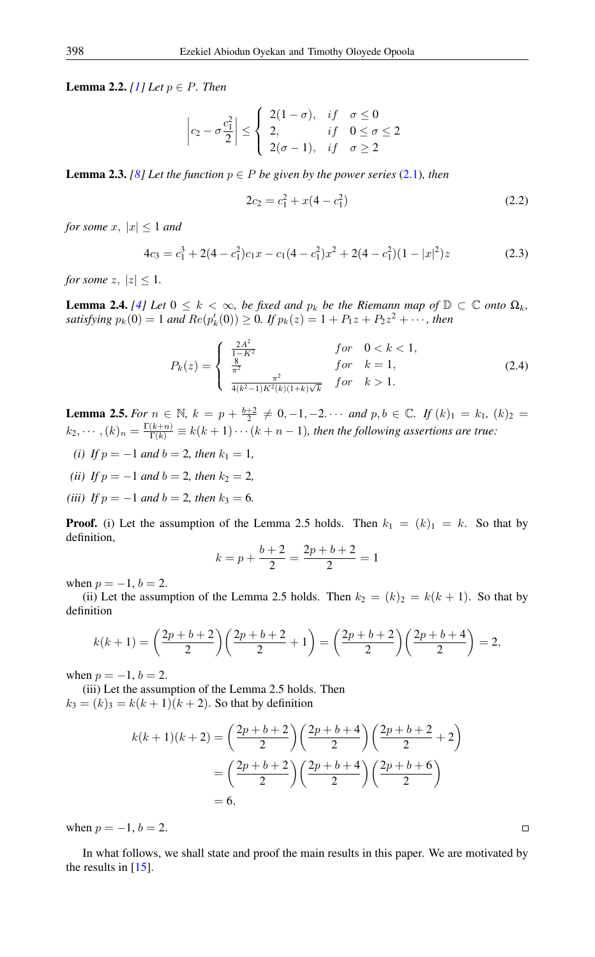**Lemma 2.2.** *[\[1\]](#page-9-10) Let*  $p \in P$ *. Then* 

$$
\left|c_2 - \sigma \frac{c_1^2}{2}\right| \le \begin{cases} 2(1-\sigma), & if \quad \sigma \le 0 \\ 2, & if \quad 0 \le \sigma \le 2 \\ 2(\sigma - 1), & if \quad \sigma \ge 2 \end{cases}
$$

<span id="page-3-0"></span>**Lemma 2.3.** *[\[8\]](#page-9-11)* Let the function  $p \in P$  be given by the power series [\(2.1\)](#page-2-3), then

$$
2c_2 = c_1^2 + x(4 - c_1^2) \tag{2.2}
$$

*for some*  $x, |x| \leq 1$  *and* 

$$
4c_3 = c_1^3 + 2(4 - c_1^2)c_1x - c_1(4 - c_1^2)x^2 + 2(4 - c_1^2)(1 - |x|^2)z
$$
\n(2.3)

*for some*  $z, |z| \leq 1$ .

**Lemma 2.4.** [\[4\]](#page-9-12) Let  $0 \leq k < \infty$ , be fixed and  $p_k$  be the Riemann map of  $\mathbb{D} \subset \mathbb{C}$  onto  $\Omega_k$ , satisfying  $p_k(0) = 1$  and  $Re(p'_k(0)) \ge 0$ . If  $p_k(z) = 1 + P_1z + P_2z^2 + \cdots$ , then

$$
P_k(z) = \begin{cases} \frac{2A^2}{1-K^2} & \text{for } 0 < k < 1, \\ \frac{8}{\pi^2} & \text{for } k = 1, \\ \frac{4}{4(k^2-1)K^2(k)(1+k)\sqrt{k}} & \text{for } k > 1. \end{cases}
$$
 (2.4)

<span id="page-3-1"></span>**Lemma 2.5.** For  $n \in \mathbb{N}$ ,  $k = p + \frac{b+2}{2} \neq 0, -1, -2, \cdots$  and  $p, b \in \mathbb{C}$ . If  $(k)_1 = k_1$ ,  $(k)_2 =$  $(k_2,\cdots,(k)_n=\frac{\Gamma(k+n)}{\Gamma(k)}\equiv k(k+1)\cdots(k+n-1)$ , then the following assertions are true:

- *(i) If*  $p = -1$  *and*  $b = 2$ *, then*  $k_1 = 1$ *,*
- *(ii) If*  $p = -1$  *and*  $b = 2$ *, then*  $k_2 = 2$ *,*
- *(iii) If*  $p = -1$  *and*  $b = 2$ *, then*  $k_3 = 6$ *.*

**Proof.** (i) Let the assumption of the Lemma 2.5 holds. Then  $k_1 = (k)_1 = k$ . So that by definition,

$$
k = p + \frac{b+2}{2} = \frac{2p+b+2}{2} = 1
$$

when  $p = -1, b = 2$ .

(ii) Let the assumption of the Lemma 2.5 holds. Then  $k_2 = (k)_2 = k(k+1)$ . So that by definition

$$
k(k+1) = \left(\frac{2p+b+2}{2}\right)\left(\frac{2p+b+2}{2}+1\right) = \left(\frac{2p+b+2}{2}\right)\left(\frac{2p+b+4}{2}\right) = 2,
$$

when  $p = -1, b = 2$ .

(iii) Let the assumption of the Lemma 2.5 holds. Then  $k_3 = (k)_3 = k(k + 1)(k + 2)$ . So that by definition

$$
k(k+1)(k+2) = {2p+b+2 \choose 2} {2p+b+4 \choose 2} {2p+b+2 \choose 2} = {2p+b+2 \choose 2} {2p+b+4 \choose 2} {2p+b+6 \choose 2} = 6,
$$

when  $p = -1, b = 2$ .

In what follows, we shall state and proof the main results in this paper. We are motivated by the results in [\[15\]](#page-10-5).

$$
\Box
$$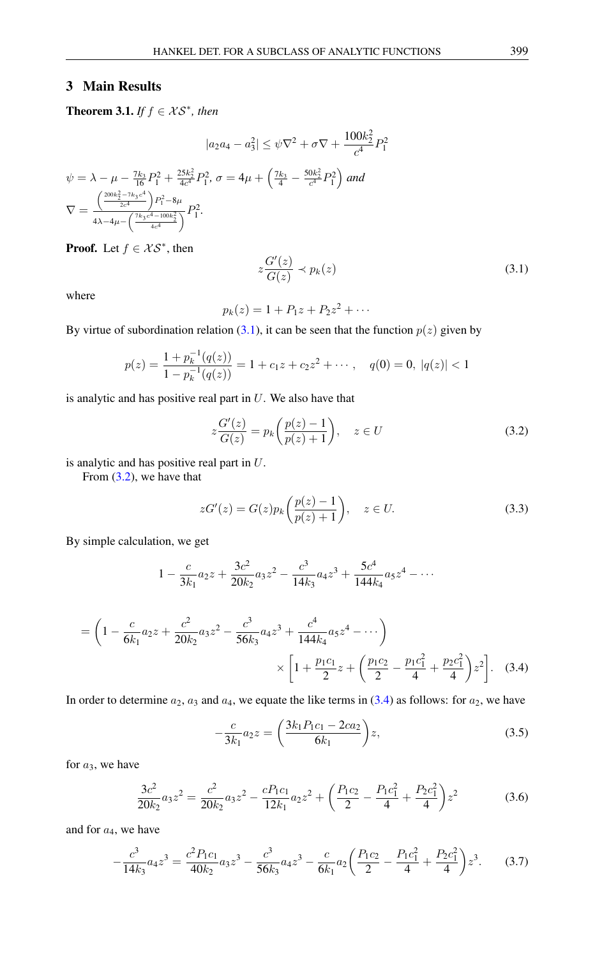## 3 Main Results

**Theorem 3.1.** *If*  $f \in \mathcal{KS}^*$ , *then* 

$$
|a_2 a_4 - a_3^2| \le \psi \nabla^2 + \sigma \nabla + \frac{100k_2^2}{c^4} P_1^2
$$
  

$$
\psi = \lambda - \mu - \frac{7k_3}{16} P_1^2 + \frac{25k_2^2}{4c^4} P_1^2, \sigma = 4\mu + \left(\frac{7k_3}{4} - \frac{50k_2^2}{c^4} P_1^2\right) \text{ and}
$$
  

$$
\nabla = \frac{\left(\frac{200k_2^2 - 7k_3c^4}{2c^4}\right) P_1^2 - 8\mu}{4\lambda - 4\mu - \left(\frac{7k_3c^4 - 100k_2^2}{4c^4}\right)} P_1^2.
$$

**Proof.** Let  $f \in \mathcal{KS}^*$ , then

where

$$
p_k(z) = 1 + P_1 z + P_2 z^2 + \cdots
$$

By virtue of subordination relation [\(3.1\)](#page-4-0), it can be seen that the function  $p(z)$  given by

<span id="page-4-0"></span> $z\frac{G'(z)}{G(z)}$ 

$$
p(z) = \frac{1 + p_k^{-1}(q(z))}{1 - p_k^{-1}(q(z))} = 1 + c_1 z + c_2 z^2 + \cdots, \quad q(0) = 0, \ |q(z)| < 1
$$

is analytic and has positive real part in  $U$ . We also have that

<span id="page-4-1"></span>
$$
z\frac{G'(z)}{G(z)} = p_k\left(\frac{p(z)-1}{p(z)+1}\right), \quad z \in U
$$
\n(3.2)

 $\frac{\partial}{\partial z}(z) \prec p_k(z)$  (3.1)

is analytic and has positive real part in U.

From [\(3.2\)](#page-4-1), we have that

$$
zG'(z) = G(z)p_k\left(\frac{p(z)-1}{p(z)+1}\right), \quad z \in U.
$$
\n(3.3)

By simple calculation, we get

$$
1 - \frac{c}{3k_1}a_2z + \frac{3c^2}{20k_2}a_3z^2 - \frac{c^3}{14k_3}a_4z^3 + \frac{5c^4}{144k_4}a_5z^4 - \cdots
$$

$$
= \left(1 - \frac{c}{6k_1}a_2z + \frac{c^2}{20k_2}a_3z^2 - \frac{c^3}{56k_3}a_4z^3 + \frac{c^4}{144k_4}a_5z^4 - \cdots\right) \times \left[1 + \frac{p_1c_1}{2}z + \left(\frac{p_1c_2}{2} - \frac{p_1c_1^2}{4} + \frac{p_2c_1^2}{4}\right)z^2\right].
$$
 (3.4)

In order to determine  $a_2$ ,  $a_3$  and  $a_4$ , we equate the like terms in [\(3.4\)](#page-4-2) as follows: for  $a_2$ , we have

<span id="page-4-3"></span><span id="page-4-2"></span>
$$
-\frac{c}{3k_1}a_2z = \left(\frac{3k_1P_1c_1 - 2ca_2}{6k_1}\right)z,
$$
\n(3.5)

for  $a_3$ , we have

<span id="page-4-5"></span><span id="page-4-4"></span>
$$
\frac{3c^2}{20k_2}a_3z^2 = \frac{c^2}{20k_2}a_3z^2 - \frac{cP_1c_1}{12k_1}a_2z^2 + \left(\frac{P_1c_2}{2} - \frac{P_1c_1^2}{4} + \frac{P_2c_1^2}{4}\right)z^2\tag{3.6}
$$

and for  $a_4$ , we have

$$
-\frac{c^3}{14k_3}a_4z^3 = \frac{c^2P_1c_1}{40k_2}a_3z^3 - \frac{c^3}{56k_3}a_4z^3 - \frac{c}{6k_1}a_2\left(\frac{P_1c_2}{2} - \frac{P_1c_1^2}{4} + \frac{P_2c_1^2}{4}\right)z^3. \tag{3.7}
$$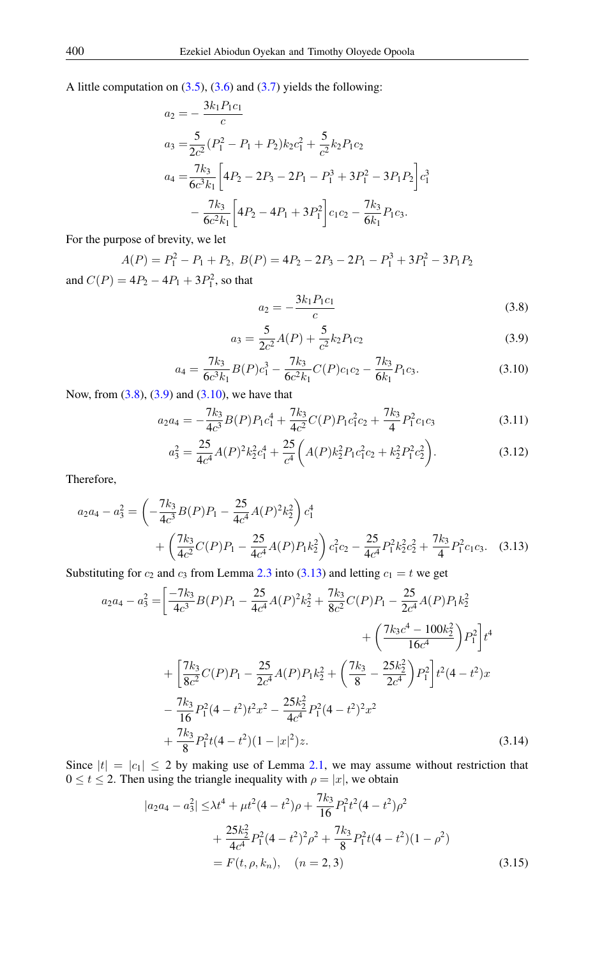A little computation on  $(3.5)$ ,  $(3.6)$  and  $(3.7)$  yields the following:

$$
a_2 = -\frac{3k_1P_1c_1}{c}
$$
  
\n
$$
a_3 = \frac{5}{2c^2}(P_1^2 - P_1 + P_2)k_2c_1^2 + \frac{5}{c^2}k_2P_1c_2
$$
  
\n
$$
a_4 = \frac{7k_3}{6c^3k_1}\bigg[4P_2 - 2P_3 - 2P_1 - P_1^3 + 3P_1^2 - 3P_1P_2\bigg]c_1^3 - \frac{7k_3}{6c^2k_1}\bigg[4P_2 - 4P_1 + 3P_1^2\bigg]c_1c_2 - \frac{7k_3}{6k_1}P_1c_3.
$$

For the purpose of brevity, we let

$$
A(P) = P_1^2 - P_1 + P_2, B(P) = 4P_2 - 2P_3 - 2P_1 - P_1^3 + 3P_1^2 - 3P_1P_2
$$

and  $C(P) = 4P_2 - 4P_1 + 3P_1^2$ , so that

<span id="page-5-3"></span><span id="page-5-2"></span><span id="page-5-1"></span><span id="page-5-0"></span>
$$
a_2 = -\frac{3k_1 P_1 c_1}{c} \tag{3.8}
$$

$$
a_3 = \frac{5}{2c^2}A(P) + \frac{5}{c^2}k_2P_1c_2
$$
\n(3.9)

$$
a_4 = \frac{7k_3}{6c^3k_1}B(P)c_1^3 - \frac{7k_3}{6c^2k_1}C(P)c_1c_2 - \frac{7k_3}{6k_1}P_1c_3.
$$
 (3.10)

Now, from [\(3.8\)](#page-5-0), [\(3.9\)](#page-5-1) and [\(3.10\)](#page-5-2), we have that

$$
a_2 a_4 = -\frac{7k_3}{4c^3} B(P) P_1 c_1^4 + \frac{7k_3}{4c^2} C(P) P_1 c_1^2 c_2 + \frac{7k_3}{4} P_1^2 c_1 c_3 \tag{3.11}
$$

$$
a_3^2 = \frac{25}{4c^4}A(P)^2k_2^2c_1^4 + \frac{25}{c^4}\left(A(P)k_2^2P_1c_1^2c_2 + k_2^2P_1^2c_2^2\right).
$$
 (3.12)

Therefore,

$$
a_2 a_4 - a_3^2 = \left(-\frac{7k_3}{4c^3}B(P)P_1 - \frac{25}{4c^4}A(P)^2k_2^2\right)c_1^4 + \left(\frac{7k_3}{4c^2}C(P)P_1 - \frac{25}{4c^4}A(P)P_1k_2^2\right)c_1^2c_2 - \frac{25}{4c^4}P_1^2k_2^2c_2^2 + \frac{7k_3}{4}P_1^2c_1c_3. \quad (3.13)
$$

Substituting for  $c_2$  and  $c_3$  from Lemma [2.3](#page-3-0) into [\(3.13\)](#page-5-3) and letting  $c_1 = t$  we get

$$
a_2a_4 - a_3^2 = \left[ \frac{-7k_3}{4c^3} B(P)P_1 - \frac{25}{4c^4} A(P)^2 k_2^2 + \frac{7k_3}{8c^2} C(P)P_1 - \frac{25}{2c^4} A(P)P_1 k_2^2 + \left( \frac{7k_3c^4 - 100k_2^2}{16c^4} \right) P_1^2 \right] t^4 + \left[ \frac{7k_3}{8c^2} C(P)P_1 - \frac{25}{2c^4} A(P)P_1 k_2^2 + \left( \frac{7k_3}{8} - \frac{25k_2^2}{2c^4} \right) P_1^2 \right] t^2 (4 - t^2)x - \frac{7k_3}{16} P_1^2 (4 - t^2) t^2 x^2 - \frac{25k_2^2}{4c^4} P_1^2 (4 - t^2)^2 x^2 + \frac{7k_3}{8} P_1^2 t (4 - t^2) (1 - |x|^2) z.
$$
\n(3.14)

Since  $|t| = |c_1| \le 2$  by making use of Lemma [2.1,](#page-2-4) we may assume without restriction that  $0 \le t \le 2$ . Then using the triangle inequality with  $\rho = |x|$ , we obtain

$$
|a_2 a_4 - a_3^2| \leq \lambda t^4 + \mu t^2 (4 - t^2)\rho + \frac{7k_3}{16} P_1^2 t^2 (4 - t^2)\rho^2
$$
  
+ 
$$
\frac{25k_2^2}{4c^4} P_1^2 (4 - t^2)^2 \rho^2 + \frac{7k_3}{8} P_1^2 t (4 - t^2)(1 - \rho^2)
$$
  
=  $F(t, \rho, k_n), \quad (n = 2, 3)$  (3.15)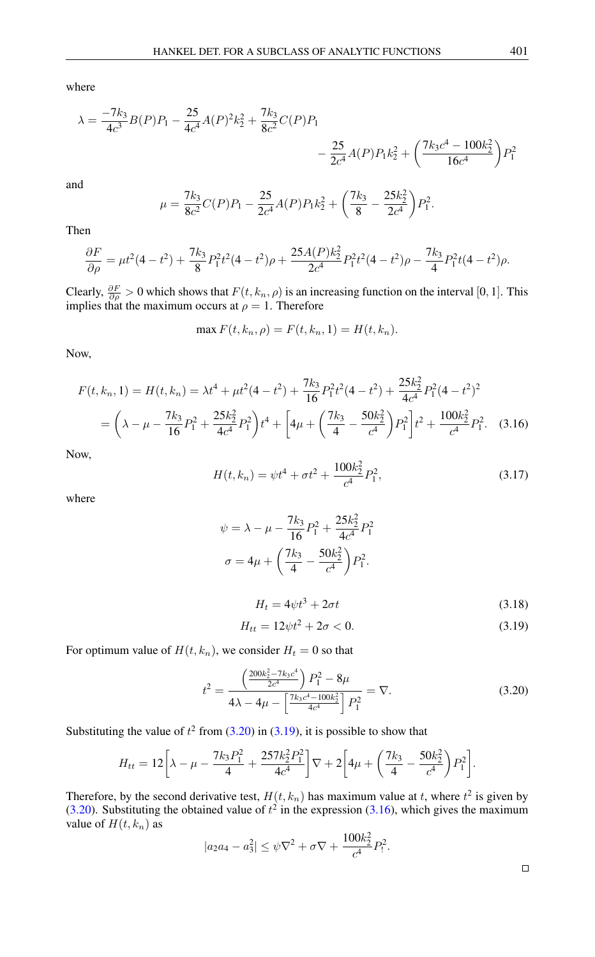where

$$
\lambda = \frac{-7k_3}{4c^3}B(P)P_1 - \frac{25}{4c^4}A(P)^2k_2^2 + \frac{7k_3}{8c^2}C(P)P_1 - \frac{25}{2c^4}A(P)P_1k_2^2 + \left(\frac{7k_3c^4 - 100k_2^2}{16c^4}\right)P_1^2
$$

and

$$
\mu = \frac{7k_3}{8c^2}C(P)P_1 - \frac{25}{2c^4}A(P)P_1k_2^2 + \left(\frac{7k_3}{8} - \frac{25k_2^2}{2c^4}\right)P_1^2.
$$

Then

$$
\frac{\partial F}{\partial \rho} = \mu t^2 (4 - t^2) + \frac{7k_3}{8} P_1^2 t^2 (4 - t^2) \rho + \frac{25A(P)k_2^2}{2c^4} P_1^2 t^2 (4 - t^2) \rho - \frac{7k_3}{4} P_1^2 t (4 - t^2) \rho.
$$

Clearly,  $\frac{\partial F}{\partial \rho} > 0$  which shows that  $F(t, k_n, \rho)$  is an increasing function on the interval [0, 1]. This implies that the maximum occurs at  $\rho = 1$ . Therefore

$$
\max F(t, k_n, \rho) = F(t, k_n, 1) = H(t, k_n).
$$

Now,

$$
F(t, k_n, 1) = H(t, k_n) = \lambda t^4 + \mu t^2 (4 - t^2) + \frac{7k_3}{16} P_1^2 t^2 (4 - t^2) + \frac{25k_2^2}{4c^4} P_1^2 (4 - t^2)^2
$$
  
=  $\left(\lambda - \mu - \frac{7k_3}{16} P_1^2 + \frac{25k_2^2}{4c^4} P_1^2\right) t^4 + \left[4\mu + \left(\frac{7k_3}{4} - \frac{50k_2^2}{c^4}\right) P_1^2\right] t^2 + \frac{100k_2^2}{c^4} P_1^2.$  (3.16)

Now,

<span id="page-6-2"></span>
$$
H(t, k_n) = \psi t^4 + \sigma t^2 + \frac{100k_2^2}{c^4} P_1^2,
$$
\n(3.17)

where

$$
\psi = \lambda - \mu - \frac{7k_3}{16}P_1^2 + \frac{25k_2^2}{4c^4}P_1^2
$$
  

$$
\sigma = 4\mu + \left(\frac{7k_3}{4} - \frac{50k_2^2}{c^4}\right)P_1^2.
$$
  

$$
H_t = 4\psi t^3 + 2\sigma t
$$
 (3.18)

<span id="page-6-1"></span><span id="page-6-0"></span>
$$
H_{tt} = 12\psi t^2 + 2\sigma < 0. \tag{3.19}
$$

For optimum value of  $H(t, k_n)$ , we consider  $H_t = 0$  so that

$$
t^{2} = \frac{\left(\frac{200k_{2}^{2} - 7k_{3}c^{4}}{2c^{4}}\right)P_{1}^{2} - 8\mu}{4\lambda - 4\mu - \left[\frac{7k_{3}c^{4} - 100k_{2}^{2}}{4c^{4}}\right]P_{1}^{2}} = \nabla.
$$
 (3.20)

Substituting the value of  $t^2$  from [\(3.20\)](#page-6-0) in [\(3.19\)](#page-6-1), it is possible to show that

$$
H_{tt} = 12 \bigg[ \lambda - \mu - \frac{7k_3 P_1^2}{4} + \frac{257 k_2^2 P_1^2}{4c^4} \bigg] \nabla + 2 \bigg[ 4\mu + \bigg( \frac{7k_3}{4} - \frac{50 k_2^2}{c^4} \bigg) P_1^2 \bigg].
$$

Therefore, by the second derivative test,  $H(t, k_n)$  has maximum value at t, where  $t^2$  is given by [\(3.20\)](#page-6-0). Substituting the obtained value of  $t^2$  in the expression [\(3.16\)](#page-6-2), which gives the maximum value of  $H(t, k_n)$  as

$$
|a_2a_4 - a_3^2| \le \psi \nabla^2 + \sigma \nabla + \frac{100k_2^2}{c^4} P_1^2.
$$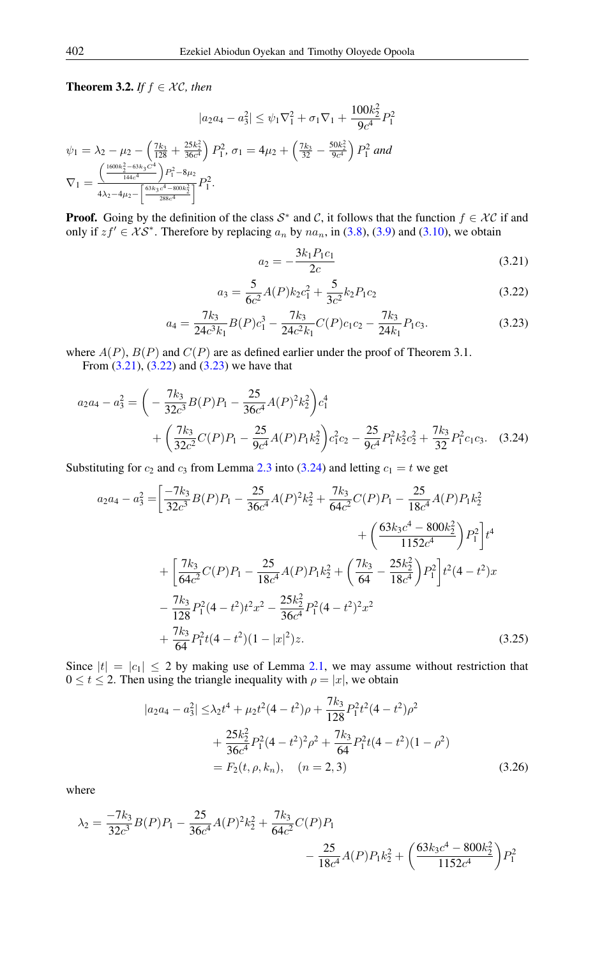**Theorem 3.2.** *If*  $f \in \mathcal{XC}$ , *then* 

$$
|a_2 a_4 - a_3^2| \le \psi_1 \nabla_1^2 + \sigma_1 \nabla_1 + \frac{100k_2^2}{9c^4} P_1^2
$$
  

$$
\psi_1 = \lambda_2 - \mu_2 - \left(\frac{7k_3}{128} + \frac{25k_2^2}{36c^4}\right) P_1^2, \ \sigma_1 = 4\mu_2 + \left(\frac{7k_3}{32} - \frac{50k_2^2}{9c^4}\right) P_1^2 \ and
$$
  

$$
\nabla_1 = \frac{\left(\frac{1600k_2^2 - 63k_3c^4}{144c^4}\right) P_1^2 - 8\mu_2}{4\lambda_2 - 4\mu_2 - \left[\frac{63k_3c^4 - 800k_2^2}{288c^4}\right]} P_1^2.
$$

**Proof.** Going by the definition of the class  $S^*$  and C, it follows that the function  $f \in \mathcal{XC}$  if and only if  $zf' \in \mathcal{KS}^*$ . Therefore by replacing  $a_n$  by  $na_n$ , in [\(3.8\)](#page-5-0), [\(3.9\)](#page-5-1) and [\(3.10\)](#page-5-2), we obtain

<span id="page-7-3"></span><span id="page-7-2"></span><span id="page-7-1"></span><span id="page-7-0"></span>
$$
a_2 = -\frac{3k_1 P_1 c_1}{2c} \tag{3.21}
$$

$$
a_3 = \frac{5}{6c^2}A(P)k_2c_1^2 + \frac{5}{3c^2}k_2P_1c_2
$$
\n(3.22)

$$
a_4 = \frac{7k_3}{24c^3k_1}B(P)c_1^3 - \frac{7k_3}{24c^2k_1}C(P)c_1c_2 - \frac{7k_3}{24k_1}P_1c_3.
$$
 (3.23)

where  $A(P)$ ,  $B(P)$  and  $C(P)$  are as defined earlier under the proof of Theorem 3.1.

From  $(3.21)$ ,  $(3.22)$  and  $(3.23)$  we have that

$$
a_2a_4 - a_3^2 = \left(-\frac{7k_3}{32c^3}B(P)P_1 - \frac{25}{36c^4}A(P)^2k_2^2\right)c_1^4 + \left(\frac{7k_3}{32c^2}C(P)P_1 - \frac{25}{9c^4}A(P)P_1k_2^2\right)c_1^2c_2 - \frac{25}{9c^4}P_1^2k_2^2c_2^2 + \frac{7k_3}{32}P_1^2c_1c_3. \quad (3.24)
$$

Substituting for  $c_2$  and  $c_3$  from Lemma [2.3](#page-3-0) into [\(3.24\)](#page-7-3) and letting  $c_1 = t$  we get

$$
a_2a_4 - a_3^2 = \left[ \frac{-7k_3}{32c^3} B(P)P_1 - \frac{25}{36c^4} A(P)^2 k_2^2 + \frac{7k_3}{64c^2} C(P)P_1 - \frac{25}{18c^4} A(P)P_1 k_2^2 + \left( \frac{63k_3c^4 - 800k_2^2}{1152c^4} \right) P_1^2 \right] t^4
$$
  
+ 
$$
\left[ \frac{7k_3}{64c^2} C(P)P_1 - \frac{25}{18c^4} A(P)P_1 k_2^2 + \left( \frac{7k_3}{64} - \frac{25k_2^2}{18c^4} \right) P_1^2 \right] t^2 (4 - t^2) x - \frac{7k_3}{128} P_1^2 (4 - t^2) t^2 x^2 - \frac{25k_2^2}{36c^4} P_1^2 (4 - t^2)^2 x^2 + \frac{7k_3}{64} P_1^2 t (4 - t^2) (1 - |x|^2) z.
$$
(3.25)

Since  $|t| = |c_1| \le 2$  by making use of Lemma [2.1,](#page-2-4) we may assume without restriction that  $0 \le t \le 2$ . Then using the triangle inequality with  $\rho = |x|$ , we obtain

$$
|a_2a_4 - a_3^2| \leq \lambda_2 t^4 + \mu_2 t^2 (4 - t^2)\rho + \frac{7k_3}{128} P_1^2 t^2 (4 - t^2)\rho^2
$$
  
+ 
$$
\frac{25k_2^2}{36c^4} P_1^2 (4 - t^2)^2 \rho^2 + \frac{7k_3}{64} P_1^2 t (4 - t^2)(1 - \rho^2)
$$
  
=  $F_2(t, \rho, k_n), \quad (n = 2, 3)$  (3.26)

where

$$
\lambda_2 = \frac{-7k_3}{32c^3}B(P)P_1 - \frac{25}{36c^4}A(P)^2k_2^2 + \frac{7k_3}{64c^2}C(P)P_1 - \frac{25}{18c^4}A(P)P_1k_2^2 + \left(\frac{63k_3c^4 - 800k_2^2}{1152c^4}\right)P_1^2
$$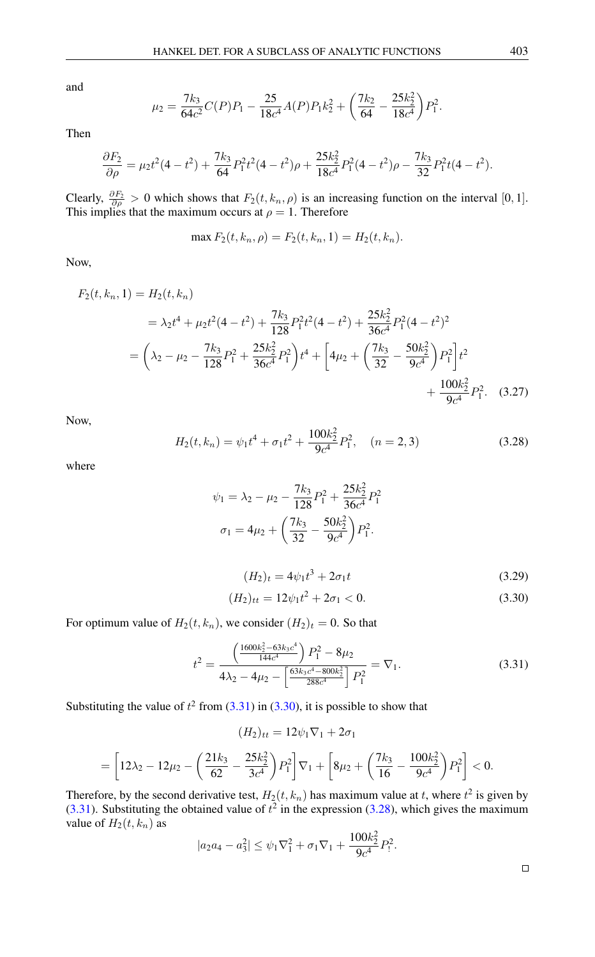and

$$
\mu_2 = \frac{7k_3}{64c^2}C(P)P_1 - \frac{25}{18c^4}A(P)P_1k_2^2 + \left(\frac{7k_2}{64} - \frac{25k_2^2}{18c^4}\right)P_1^2.
$$

Then

$$
\frac{\partial F_2}{\partial \rho} = \mu_2 t^2 (4 - t^2) + \frac{7k_3}{64} P_1^2 t^2 (4 - t^2) \rho + \frac{25k_2^2}{18c^4} P_1^2 (4 - t^2) \rho - \frac{7k_3}{32} P_1^2 t (4 - t^2).
$$

Clearly,  $\frac{\partial F_2}{\partial \rho} > 0$  which shows that  $F_2(t, k_n, \rho)$  is an increasing function on the interval [0, 1]. This implies that the maximum occurs at  $\rho = 1$ . Therefore

$$
\max F_2(t, k_n, \rho) = F_2(t, k_n, 1) = H_2(t, k_n).
$$

Now,

$$
F_2(t, k_n, 1) = H_2(t, k_n)
$$
  
=  $\lambda_2 t^4 + \mu_2 t^2 (4 - t^2) + \frac{7k_3}{128} P_1^2 t^2 (4 - t^2) + \frac{25k_2^2}{36c^4} P_1^2 (4 - t^2)^2$   
=  $\left(\lambda_2 - \mu_2 - \frac{7k_3}{128} P_1^2 + \frac{25k_2^2}{36c^4} P_1^2\right) t^4 + \left[4\mu_2 + \left(\frac{7k_3}{32} - \frac{50k_2^2}{9c^4}\right) P_1^2\right] t^2$   
+  $\frac{100k_2^2}{9c^4} P_1^2.$  (3.27)

<span id="page-8-2"></span>Now,

$$
H_2(t, k_n) = \psi_1 t^4 + \sigma_1 t^2 + \frac{100k_2^2}{9c^4} P_1^2, \quad (n = 2, 3)
$$
 (3.28)

where

$$
\psi_1 = \lambda_2 - \mu_2 - \frac{7k_3}{128} P_1^2 + \frac{25k_2^2}{36c^4} P_1^2
$$

$$
\sigma_1 = 4\mu_2 + \left(\frac{7k_3}{32} - \frac{50k_2^2}{9c^4}\right) P_1^2.
$$

<span id="page-8-1"></span><span id="page-8-0"></span>
$$
(H_2)_t = 4\psi_1 t^3 + 2\sigma_1 t \tag{3.29}
$$

$$
(H_2)_{tt} = 12\psi_1 t^2 + 2\sigma_1 < 0. \tag{3.30}
$$

For optimum value of  $H_2(t, k_n)$ , we consider  $(H_2)_t = 0$ . So that

$$
t^{2} = \frac{\left(\frac{1600k_{2}^{2} - 63k_{3}c^{4}}{144c^{4}}\right)P_{1}^{2} - 8\mu_{2}}{4\lambda_{2} - 4\mu_{2} - \left[\frac{63k_{3}c^{4} - 800k_{2}^{2}}{288c^{4}}\right]P_{1}^{2}} = \nabla_{1}.
$$
\n(3.31)

Substituting the value of  $t^2$  from [\(3.31\)](#page-8-0) in [\(3.30\)](#page-8-1), it is possible to show that

$$
(H_2)_{tt} = 12\psi_1 \nabla_1 + 2\sigma_1
$$
  
=  $\left[12\lambda_2 - 12\mu_2 - \left(\frac{21k_3}{62} - \frac{25k_2^2}{3c^4}\right)P_1^2\right] \nabla_1 + \left[8\mu_2 + \left(\frac{7k_3}{16} - \frac{100k_2^2}{9c^4}\right)P_1^2\right] < 0.$ 

Therefore, by the second derivative test,  $H_2(t, k_n)$  has maximum value at t, where  $t^2$  is given by [\(3.31\)](#page-8-0). Substituting the obtained value of  $t^2$  in the expression [\(3.28\)](#page-8-2), which gives the maximum value of  $H_2(t, k_n)$  as

$$
|a_2a_4 - a_3^2| \le \psi_1 \nabla_1^2 + \sigma_1 \nabla_1 + \frac{100k_2^2}{9c^4} P_1^2.
$$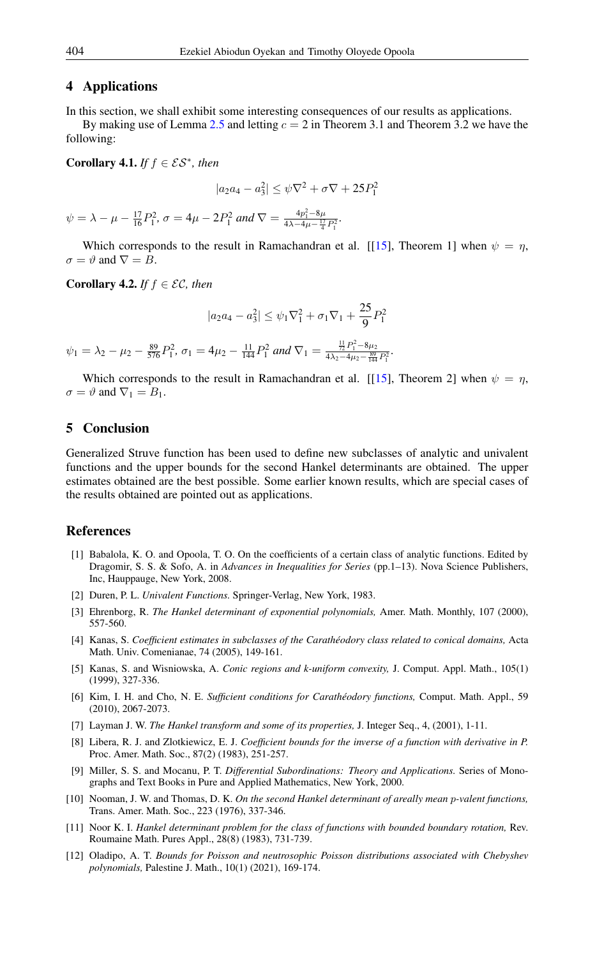#### 4 Applications

In this section, we shall exhibit some interesting consequences of our results as applications.

By making use of Lemma [2.5](#page-3-1) and letting  $c = 2$  in Theorem 3.1 and Theorem 3.2 we have the following:

Corollary 4.1. *If*  $f \in \mathcal{ES}^*$ , then

$$
|a_2a_4 - a_3^2| \le \psi \nabla^2 + \sigma \nabla + 25P_1^2
$$

 $\psi = \lambda - \mu - \frac{17}{16}P_1^2$ ,  $\sigma = 4\mu - 2P_1^2$  and  $\nabla = \frac{4p_1^2 - 8\mu}{4\lambda - 4\mu - \frac{17}{4}P_1^2}$ .

Which corresponds to the result in Ramachandran et al. [[\[15\]](#page-10-5), Theorem 1] when  $\psi = \eta$ ,  $\sigma = \vartheta$  and  $\nabla = B$ .

**Corollary 4.2.** *If*  $f \in \mathcal{EC}$ , *then* 

$$
|a_2a_4 - a_3^2| \le \psi_1\nabla_1^2 + \sigma_1\nabla_1 + \frac{25}{9}P_1^2
$$

 $\psi_1 = \lambda_2 - \mu_2 - \frac{89}{576}P_1^2$ ,  $\sigma_1 = 4\mu_2 - \frac{11}{144}P_1^2$  and  $\nabla_1 = \frac{\frac{11}{72}P_1^2 - 8\mu_2}{4\lambda_2 - 4\mu_2 - \frac{89}{144}}$  $\frac{72^{11}-6\mu_2}{4\lambda_2-4\mu_2-\frac{89}{144}P_1^2}$ 

Which corresponds to the result in Ramachandran et al. [[\[15\]](#page-10-5), Theorem 2] when  $\psi = \eta$ ,  $\sigma = \vartheta$  and  $\nabla_1 = B_1$ .

## 5 Conclusion

Generalized Struve function has been used to define new subclasses of analytic and univalent functions and the upper bounds for the second Hankel determinants are obtained. The upper estimates obtained are the best possible. Some earlier known results, which are special cases of the results obtained are pointed out as applications.

## <span id="page-9-0"></span>References

- <span id="page-9-10"></span>[1] Babalola, K. O. and Opoola, T. O. On the coefficients of a certain class of analytic functions. Edited by Dragomir, S. S. & Sofo, A. in *Advances in Inequalities for Series* (pp.1–13). Nova Science Publishers, Inc, Hauppauge, New York, 2008.
- <span id="page-9-5"></span>[2] Duren, P. L. *Univalent Functions.* Springer-Verlag, New York, 1983.
- <span id="page-9-8"></span>[3] Ehrenborg, R. *The Hankel determinant of exponential polynomials,* Amer. Math. Monthly, 107 (2000), 557-560.
- <span id="page-9-12"></span>[4] Kanas, S. *Coefficient estimates in subclasses of the Carathéodory class related to conical domains,* Acta Math. Univ. Comenianae, 74 (2005), 149-161.
- <span id="page-9-1"></span>[5] Kanas, S. and Wisniowska, A. *Conic regions and k-uniform convexity,* J. Comput. Appl. Math., 105(1) (1999), 327-336.
- <span id="page-9-2"></span>[6] Kim, I. H. and Cho, N. E. *Sufficient conditions for Carathéodory functions,* Comput. Math. Appl., 59 (2010), 2067-2073.
- <span id="page-9-9"></span>[7] Layman J. W. *The Hankel transform and some of its properties,* J. Integer Seq., 4, (2001), 1-11.
- <span id="page-9-11"></span>[8] Libera, R. J. and Zlotkiewicz, E. J. *Coefficient bounds for the inverse of a function with derivative in P.* Proc. Amer. Math. Soc., 87(2) (1983), 251-257.
- <span id="page-9-4"></span>[9] Miller, S. S. and Mocanu, P. T. *Differential Subordinations: Theory and Applications.* Series of Monographs and Text Books in Pure and Applied Mathematics, New York, 2000.
- <span id="page-9-6"></span>[10] Nooman, J. W. and Thomas, D. K. *On the second Hankel determinant of areally mean* p*-valent functions,* Trans. Amer. Math. Soc., 223 (1976), 337-346.
- <span id="page-9-7"></span>[11] Noor K. I. *Hankel determinant problem for the class of functions with bounded boundary rotation,* Rev. Roumaine Math. Pures Appl., 28(8) (1983), 731-739.
- <span id="page-9-3"></span>[12] Oladipo, A. T. *Bounds for Poisson and neutrosophic Poisson distributions associated with Chebyshev polynomials,* Palestine J. Math., 10(1) (2021), 169-174.